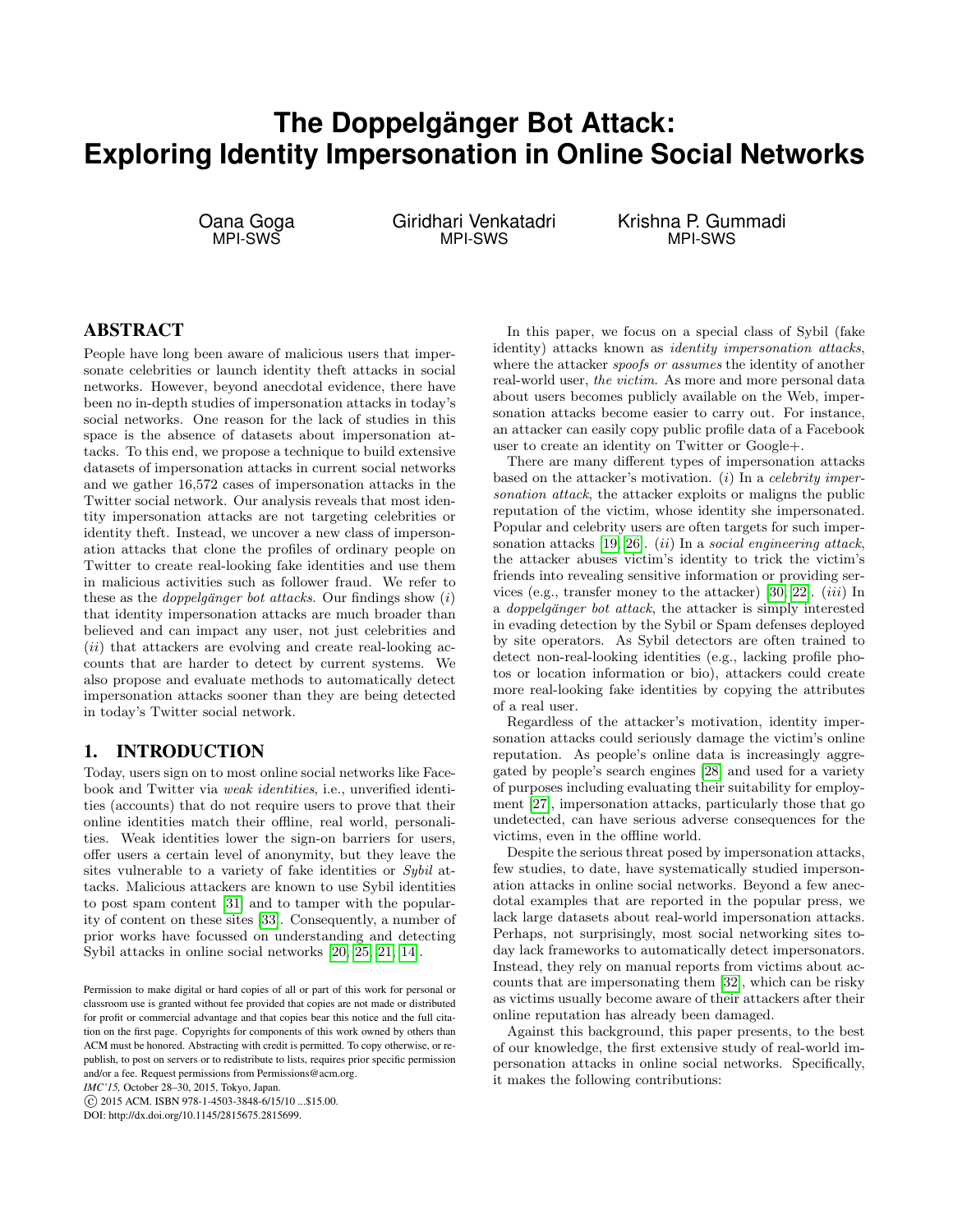# **The Doppelgänger Bot Attack: Exploring Identity Impersonation in Online Social Networks**

Oana Goga MPI-SWS

Giridhari Venkatadri MPI-SWS

Krishna P. Gummadi MPI-SWS

# ABSTRACT

People have long been aware of malicious users that impersonate celebrities or launch identity theft attacks in social networks. However, beyond anecdotal evidence, there have been no in-depth studies of impersonation attacks in today's social networks. One reason for the lack of studies in this space is the absence of datasets about impersonation attacks. To this end, we propose a technique to build extensive datasets of impersonation attacks in current social networks and we gather 16,572 cases of impersonation attacks in the Twitter social network. Our analysis reveals that most identity impersonation attacks are not targeting celebrities or identity theft. Instead, we uncover a new class of impersonation attacks that clone the profiles of ordinary people on Twitter to create real-looking fake identities and use them in malicious activities such as follower fraud. We refer to these as the *doppelgänger bot attacks*. Our findings show  $(i)$ that identity impersonation attacks are much broader than believed and can impact any user, not just celebrities and  $(ii)$  that attackers are evolving and create real-looking accounts that are harder to detect by current systems. We also propose and evaluate methods to automatically detect impersonation attacks sooner than they are being detected in today's Twitter social network.

## 1. INTRODUCTION

Today, users sign on to most online social networks like Facebook and Twitter via *weak identities*, i.e., unverified identities (accounts) that do not require users to prove that their online identities match their offline, real world, personalities. Weak identities lower the sign-on barriers for users, offer users a certain level of anonymity, but they leave the sites vulnerable to a variety of fake identities or Sybil attacks. Malicious attackers are known to use Sybil identities to post spam content [\[31\]](#page-11-0) and to tamper with the popularity of content on these sites [\[33\]](#page-12-0). Consequently, a number of prior works have focussed on understanding and detecting Sybil attacks in online social networks [\[20,](#page-11-1) [25,](#page-11-2) [21,](#page-11-3) [14\]](#page-11-4).

*IMC'15,* October 28–30, 2015, Tokyo, Japan.

c 2015 ACM. ISBN 978-1-4503-3848-6/15/10 ...\$15.00.

DOI: http://dx.doi.org/10.1145/2815675.2815699.

In this paper, we focus on a special class of Sybil (fake identity) attacks known as *identity impersonation attacks*, where the attacker *spoofs or assumes* the identity of another real-world user, the victim. As more and more personal data about users becomes publicly available on the Web, impersonation attacks become easier to carry out. For instance, an attacker can easily copy public profile data of a Facebook user to create an identity on Twitter or Google+.

There are many different types of impersonation attacks based on the attacker's motivation.  $(i)$  In a *celebrity imper*sonation attack, the attacker exploits or maligns the public reputation of the victim, whose identity she impersonated. Popular and celebrity users are often targets for such imper-sonation attacks [\[19,](#page-11-5) [26\]](#page-11-6). *(ii)* In a *social engineering attack*, the attacker abuses victim's identity to trick the victim's friends into revealing sensitive information or providing services (e.g., transfer money to the attacker) [\[30,](#page-11-7) [22\]](#page-11-8). (iii) In a *doppelgänger bot attack*, the attacker is simply interested in evading detection by the Sybil or Spam defenses deployed by site operators. As Sybil detectors are often trained to detect non-real-looking identities (e.g., lacking profile photos or location information or bio), attackers could create more real-looking fake identities by copying the attributes of a real user.

Regardless of the attacker's motivation, identity impersonation attacks could seriously damage the victim's online reputation. As people's online data is increasingly aggregated by people's search engines [\[28\]](#page-11-9) and used for a variety of purposes including evaluating their suitability for employment [\[27\]](#page-11-10), impersonation attacks, particularly those that go undetected, can have serious adverse consequences for the victims, even in the offline world.

Despite the serious threat posed by impersonation attacks, few studies, to date, have systematically studied impersonation attacks in online social networks. Beyond a few anecdotal examples that are reported in the popular press, we lack large datasets about real-world impersonation attacks. Perhaps, not surprisingly, most social networking sites today lack frameworks to automatically detect impersonators. Instead, they rely on manual reports from victims about accounts that are impersonating them [\[32\]](#page-12-1), which can be risky as victims usually become aware of their attackers after their online reputation has already been damaged.

Against this background, this paper presents, to the best of our knowledge, the first extensive study of real-world impersonation attacks in online social networks. Specifically, it makes the following contributions:

Permission to make digital or hard copies of all or part of this work for personal or classroom use is granted without fee provided that copies are not made or distributed for profit or commercial advantage and that copies bear this notice and the full citation on the first page. Copyrights for components of this work owned by others than ACM must be honored. Abstracting with credit is permitted. To copy otherwise, or republish, to post on servers or to redistribute to lists, requires prior specific permission and/or a fee. Request permissions from Permissions@acm.org.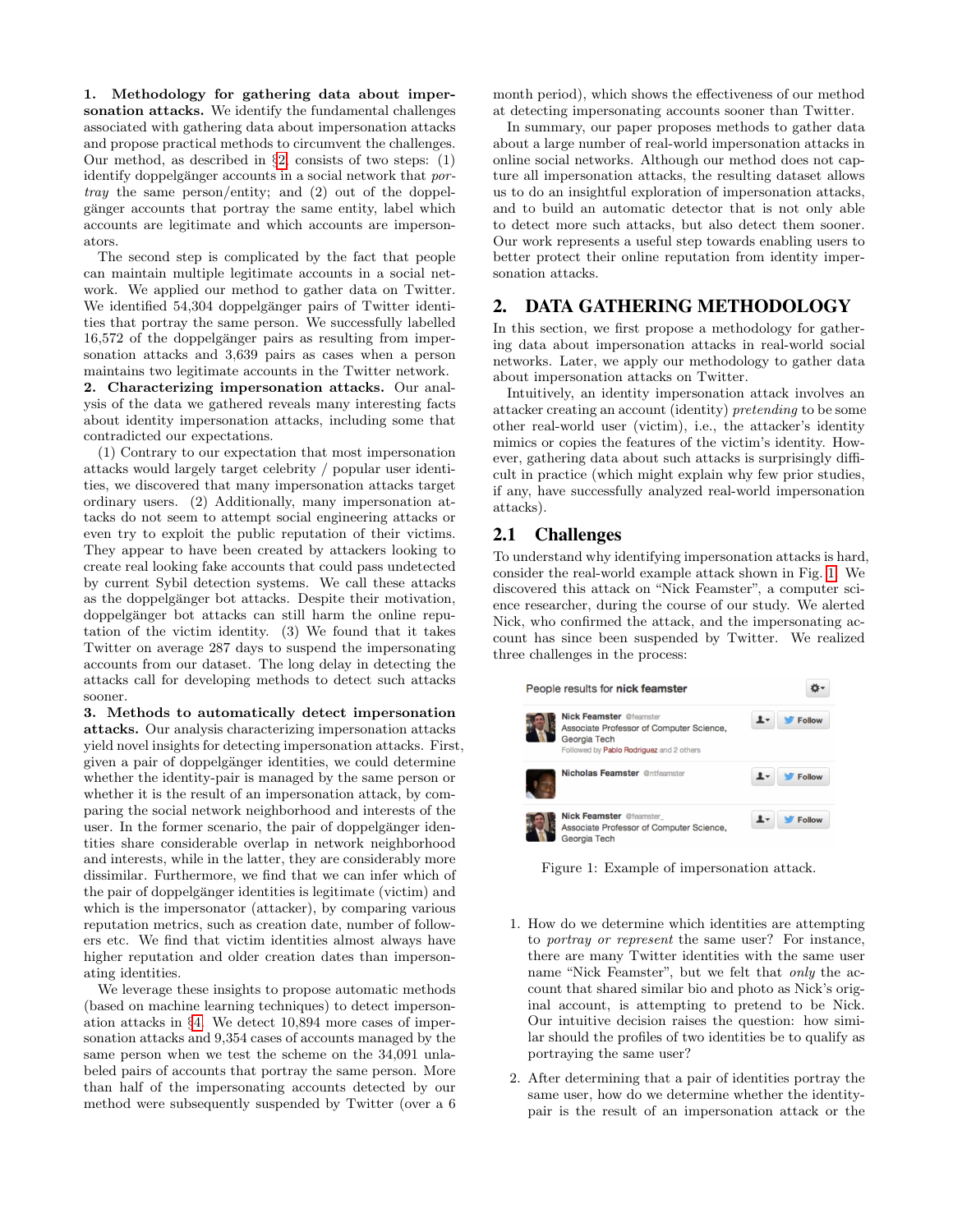1. Methodology for gathering data about impersonation attacks. We identify the fundamental challenges associated with gathering data about impersonation attacks and propose practical methods to circumvent the challenges. Our method, as described in  $\S2$ , consists of two steps: (1) identify doppelgänger accounts in a social network that *por*tray the same person/entity; and (2) out of the doppelgänger accounts that portray the same entity, label which accounts are legitimate and which accounts are impersonators.

The second step is complicated by the fact that people can maintain multiple legitimate accounts in a social network. We applied our method to gather data on Twitter. We identified 54,304 doppelgänger pairs of Twitter identities that portray the same person. We successfully labelled  $16,572$  of the doppelgänger pairs as resulting from impersonation attacks and 3,639 pairs as cases when a person maintains two legitimate accounts in the Twitter network.

2. Characterizing impersonation attacks. Our analysis of the data we gathered reveals many interesting facts about identity impersonation attacks, including some that contradicted our expectations.

(1) Contrary to our expectation that most impersonation attacks would largely target celebrity / popular user identities, we discovered that many impersonation attacks target ordinary users. (2) Additionally, many impersonation attacks do not seem to attempt social engineering attacks or even try to exploit the public reputation of their victims. They appear to have been created by attackers looking to create real looking fake accounts that could pass undetected by current Sybil detection systems. We call these attacks as the doppelgänger bot attacks. Despite their motivation, doppelgänger bot attacks can still harm the online reputation of the victim identity. (3) We found that it takes Twitter on average 287 days to suspend the impersonating accounts from our dataset. The long delay in detecting the attacks call for developing methods to detect such attacks sooner.

3. Methods to automatically detect impersonation attacks. Our analysis characterizing impersonation attacks yield novel insights for detecting impersonation attacks. First, given a pair of doppelgänger identities, we could determine whether the identity-pair is managed by the same person or whether it is the result of an impersonation attack, by comparing the social network neighborhood and interests of the user. In the former scenario, the pair of doppelgänger identities share considerable overlap in network neighborhood and interests, while in the latter, they are considerably more dissimilar. Furthermore, we find that we can infer which of the pair of doppelgänger identities is legitimate (victim) and which is the impersonator (attacker), by comparing various reputation metrics, such as creation date, number of followers etc. We find that victim identities almost always have higher reputation and older creation dates than impersonating identities.

We leverage these insights to propose automatic methods (based on machine learning techniques) to detect impersonation attacks in §[4.](#page-7-0) We detect 10,894 more cases of impersonation attacks and 9,354 cases of accounts managed by the same person when we test the scheme on the 34,091 unlabeled pairs of accounts that portray the same person. More than half of the impersonating accounts detected by our method were subsequently suspended by Twitter (over a 6

month period), which shows the effectiveness of our method at detecting impersonating accounts sooner than Twitter.

In summary, our paper proposes methods to gather data about a large number of real-world impersonation attacks in online social networks. Although our method does not capture all impersonation attacks, the resulting dataset allows us to do an insightful exploration of impersonation attacks, and to build an automatic detector that is not only able to detect more such attacks, but also detect them sooner. Our work represents a useful step towards enabling users to better protect their online reputation from identity impersonation attacks.

# <span id="page-1-0"></span>2. DATA GATHERING METHODOLOGY

In this section, we first propose a methodology for gathering data about impersonation attacks in real-world social networks. Later, we apply our methodology to gather data about impersonation attacks on Twitter.

Intuitively, an identity impersonation attack involves an attacker creating an account (identity) pretending to be some other real-world user (victim), i.e., the attacker's identity mimics or copies the features of the victim's identity. However, gathering data about such attacks is surprisingly difficult in practice (which might explain why few prior studies, if any, have successfully analyzed real-world impersonation attacks).

# 2.1 Challenges

To understand why identifying impersonation attacks is hard, consider the real-world example attack shown in Fig. [1.](#page-1-1) We discovered this attack on "Nick Feamster", a computer science researcher, during the course of our study. We alerted Nick, who confirmed the attack, and the impersonating account has since been suspended by Twitter. We realized three challenges in the process:

<span id="page-1-1"></span>

Figure 1: Example of impersonation attack.

- 1. How do we determine which identities are attempting to portray or represent the same user? For instance, there are many Twitter identities with the same user name "Nick Feamster", but we felt that only the account that shared similar bio and photo as Nick's original account, is attempting to pretend to be Nick. Our intuitive decision raises the question: how similar should the profiles of two identities be to qualify as portraying the same user?
- 2. After determining that a pair of identities portray the same user, how do we determine whether the identitypair is the result of an impersonation attack or the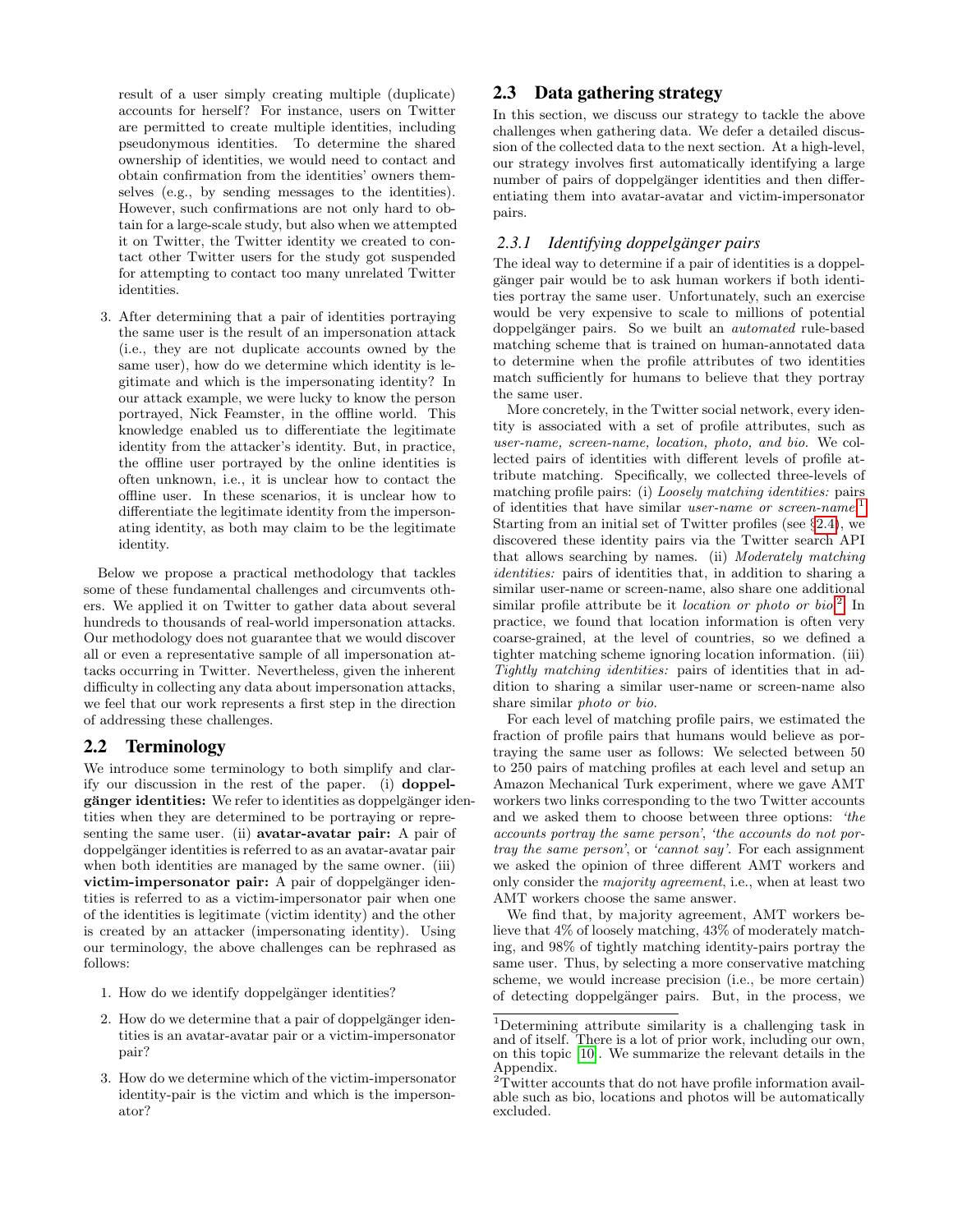result of a user simply creating multiple (duplicate) accounts for herself? For instance, users on Twitter are permitted to create multiple identities, including pseudonymous identities. To determine the shared ownership of identities, we would need to contact and obtain confirmation from the identities' owners themselves (e.g., by sending messages to the identities). However, such confirmations are not only hard to obtain for a large-scale study, but also when we attempted it on Twitter, the Twitter identity we created to contact other Twitter users for the study got suspended for attempting to contact too many unrelated Twitter identities.

3. After determining that a pair of identities portraying the same user is the result of an impersonation attack (i.e., they are not duplicate accounts owned by the same user), how do we determine which identity is legitimate and which is the impersonating identity? In our attack example, we were lucky to know the person portrayed, Nick Feamster, in the offline world. This knowledge enabled us to differentiate the legitimate identity from the attacker's identity. But, in practice, the offline user portrayed by the online identities is often unknown, i.e., it is unclear how to contact the offline user. In these scenarios, it is unclear how to differentiate the legitimate identity from the impersonating identity, as both may claim to be the legitimate identity.

Below we propose a practical methodology that tackles some of these fundamental challenges and circumvents others. We applied it on Twitter to gather data about several hundreds to thousands of real-world impersonation attacks. Our methodology does not guarantee that we would discover all or even a representative sample of all impersonation attacks occurring in Twitter. Nevertheless, given the inherent difficulty in collecting any data about impersonation attacks, we feel that our work represents a first step in the direction of addressing these challenges.

# 2.2 Terminology

We introduce some terminology to both simplify and clarify our discussion in the rest of the paper. (i) doppelgänger identities: We refer to identities as doppelgänger identities when they are determined to be portraying or representing the same user. (ii) **avatar-avatar pair:** A pair of doppelgänger identities is referred to as an avatar-avatar pair when both identities are managed by the same owner. (iii) victim-impersonator pair: A pair of doppelgänger identities is referred to as a victim-impersonator pair when one of the identities is legitimate (victim identity) and the other is created by an attacker (impersonating identity). Using our terminology, the above challenges can be rephrased as follows:

- 1. How do we identify doppelgänger identities?
- 2. How do we determine that a pair of doppelgänger identities is an avatar-avatar pair or a victim-impersonator pair?
- 3. How do we determine which of the victim-impersonator identity-pair is the victim and which is the impersonator?

# <span id="page-2-2"></span>2.3 Data gathering strategy

In this section, we discuss our strategy to tackle the above challenges when gathering data. We defer a detailed discussion of the collected data to the next section. At a high-level, our strategy involves first automatically identifying a large number of pairs of doppelgänger identities and then differentiating them into avatar-avatar and victim-impersonator pairs.

## *2.3.1 Identifying doppelgänger pairs*

The ideal way to determine if a pair of identities is a doppelgänger pair would be to ask human workers if both identities portray the same user. Unfortunately, such an exercise would be very expensive to scale to millions of potential doppelgänger pairs. So we built an *automated* rule-based matching scheme that is trained on human-annotated data to determine when the profile attributes of two identities match sufficiently for humans to believe that they portray the same user.

More concretely, in the Twitter social network, every identity is associated with a set of profile attributes, such as user-name, screen-name, location, photo, and bio. We collected pairs of identities with different levels of profile attribute matching. Specifically, we collected three-levels of matching profile pairs: (i) Loosely matching identities: pairs of identities that have similar *user-name or screen-name*;<sup>[1](#page-2-0)</sup> Starting from an initial set of Twitter profiles (see §[2.4\)](#page-3-0), we discovered these identity pairs via the Twitter search API that allows searching by names. (ii) Moderately matching identities: pairs of identities that, in addition to sharing a similar user-name or screen-name, also share one additional similar profile attribute be it *location or photo or bio.*<sup>[2](#page-2-1)</sup> In practice, we found that location information is often very coarse-grained, at the level of countries, so we defined a tighter matching scheme ignoring location information. (iii) Tightly matching identities: pairs of identities that in addition to sharing a similar user-name or screen-name also share similar photo or bio.

For each level of matching profile pairs, we estimated the fraction of profile pairs that humans would believe as portraying the same user as follows: We selected between 50 to 250 pairs of matching profiles at each level and setup an Amazon Mechanical Turk experiment, where we gave AMT workers two links corresponding to the two Twitter accounts and we asked them to choose between three options: 'the accounts portray the same person', 'the accounts do not portray the same person', or 'cannot say'. For each assignment we asked the opinion of three different AMT workers and only consider the majority agreement, i.e., when at least two AMT workers choose the same answer.

We find that, by majority agreement, AMT workers believe that 4% of loosely matching, 43% of moderately matching, and 98% of tightly matching identity-pairs portray the same user. Thus, by selecting a more conservative matching scheme, we would increase precision (i.e., be more certain) of detecting doppelgänger pairs. But, in the process, we

<span id="page-2-0"></span><sup>1</sup>Determining attribute similarity is a challenging task in and of itself. There is a lot of prior work, including our own, on this topic [\[10\]](#page-11-11). We summarize the relevant details in the Appendix.

<span id="page-2-1"></span><sup>2</sup>Twitter accounts that do not have profile information available such as bio, locations and photos will be automatically excluded.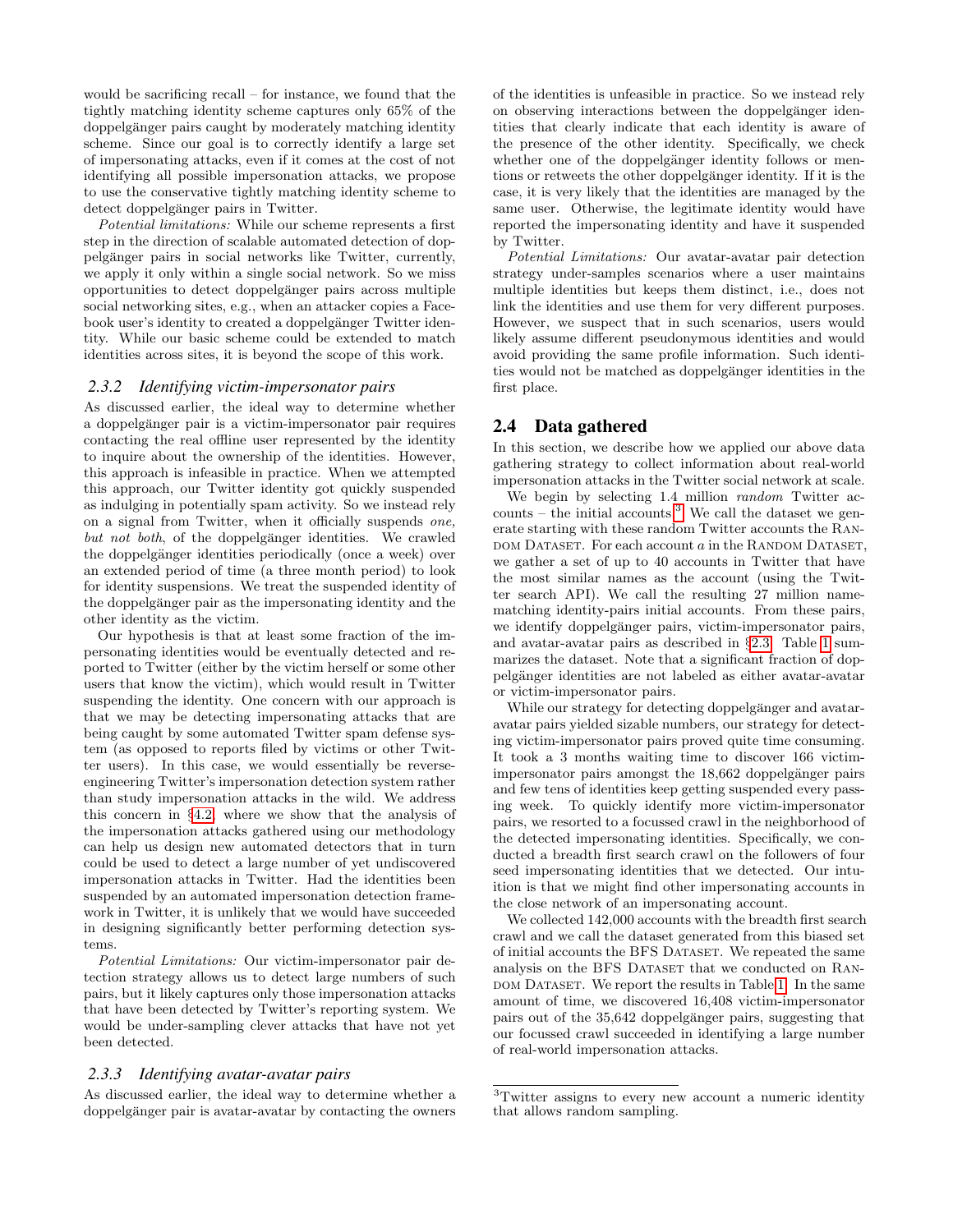would be sacrificing recall – for instance, we found that the tightly matching identity scheme captures only 65% of the doppelgänger pairs caught by moderately matching identity scheme. Since our goal is to correctly identify a large set of impersonating attacks, even if it comes at the cost of not identifying all possible impersonation attacks, we propose to use the conservative tightly matching identity scheme to detect doppelgänger pairs in Twitter.

Potential limitations: While our scheme represents a first step in the direction of scalable automated detection of doppelgänger pairs in social networks like Twitter, currently, we apply it only within a single social network. So we miss opportunities to detect doppelgänger pairs across multiple social networking sites, e.g., when an attacker copies a Facebook user's identity to created a doppelgänger Twitter identity. While our basic scheme could be extended to match identities across sites, it is beyond the scope of this work.

#### *2.3.2 Identifying victim-impersonator pairs*

As discussed earlier, the ideal way to determine whether a doppelgänger pair is a victim-impersonator pair requires contacting the real offline user represented by the identity to inquire about the ownership of the identities. However, this approach is infeasible in practice. When we attempted this approach, our Twitter identity got quickly suspended as indulging in potentially spam activity. So we instead rely on a signal from Twitter, when it officially suspends one,  $but not both, of the doppelgänger identities. We rawled$ the doppelgänger identities periodically (once a week) over an extended period of time (a three month period) to look for identity suspensions. We treat the suspended identity of the doppelgänger pair as the impersonating identity and the other identity as the victim.

Our hypothesis is that at least some fraction of the impersonating identities would be eventually detected and reported to Twitter (either by the victim herself or some other users that know the victim), which would result in Twitter suspending the identity. One concern with our approach is that we may be detecting impersonating attacks that are being caught by some automated Twitter spam defense system (as opposed to reports filed by victims or other Twitter users). In this case, we would essentially be reverseengineering Twitter's impersonation detection system rather than study impersonation attacks in the wild. We address this concern in §[4.2,](#page-9-0) where we show that the analysis of the impersonation attacks gathered using our methodology can help us design new automated detectors that in turn could be used to detect a large number of yet undiscovered impersonation attacks in Twitter. Had the identities been suspended by an automated impersonation detection framework in Twitter, it is unlikely that we would have succeeded in designing significantly better performing detection systems.

Potential Limitations: Our victim-impersonator pair detection strategy allows us to detect large numbers of such pairs, but it likely captures only those impersonation attacks that have been detected by Twitter's reporting system. We would be under-sampling clever attacks that have not yet been detected.

#### *2.3.3 Identifying avatar-avatar pairs*

As discussed earlier, the ideal way to determine whether a doppelgänger pair is avatar-avatar by contacting the owners of the identities is unfeasible in practice. So we instead rely on observing interactions between the doppelgänger identities that clearly indicate that each identity is aware of the presence of the other identity. Specifically, we check whether one of the doppelgänger identity follows or mentions or retweets the other doppelgänger identity. If it is the case, it is very likely that the identities are managed by the same user. Otherwise, the legitimate identity would have reported the impersonating identity and have it suspended by Twitter.

Potential Limitations: Our avatar-avatar pair detection strategy under-samples scenarios where a user maintains multiple identities but keeps them distinct, i.e., does not link the identities and use them for very different purposes. However, we suspect that in such scenarios, users would likely assume different pseudonymous identities and would avoid providing the same profile information. Such identities would not be matched as doppelgänger identities in the first place.

## <span id="page-3-0"></span>2.4 Data gathered

In this section, we describe how we applied our above data gathering strategy to collect information about real-world impersonation attacks in the Twitter social network at scale.

We begin by selecting 1.4 million *random* Twitter ac- $counts - the initial accounts.<sup>3</sup> We call the dataset we gen counts - the initial accounts.<sup>3</sup> We call the dataset we gen counts - the initial accounts.<sup>3</sup> We call the dataset we gen$ erate starting with these random Twitter accounts the Ran-DOM DATASET. For each account  $a$  in the RANDOM DATASET, we gather a set of up to 40 accounts in Twitter that have the most similar names as the account (using the Twitter search API). We call the resulting 27 million namematching identity-pairs initial accounts. From these pairs, we identify doppelgänger pairs, victim-impersonator pairs, and avatar-avatar pairs as described in §[2.3.](#page-2-2) Table [1](#page-4-0) summarizes the dataset. Note that a significant fraction of doppelgänger identities are not labeled as either avatar-avatar or victim-impersonator pairs.

While our strategy for detecting doppelgänger and avataravatar pairs yielded sizable numbers, our strategy for detecting victim-impersonator pairs proved quite time consuming. It took a 3 months waiting time to discover 166 victimimpersonator pairs amongst the 18,662 doppelgänger pairs and few tens of identities keep getting suspended every passing week. To quickly identify more victim-impersonator pairs, we resorted to a focussed crawl in the neighborhood of the detected impersonating identities. Specifically, we conducted a breadth first search crawl on the followers of four seed impersonating identities that we detected. Our intuition is that we might find other impersonating accounts in the close network of an impersonating account.

We collected 142,000 accounts with the breadth first search crawl and we call the dataset generated from this biased set of initial accounts the BFS DATASET. We repeated the same analysis on the BFS DATASET that we conducted on RAN-DOM DATASET. We report the results in Table [1.](#page-4-0) In the same amount of time, we discovered 16,408 victim-impersonator pairs out of the 35,642 doppelgänger pairs, suggesting that our focussed crawl succeeded in identifying a large number of real-world impersonation attacks.

<span id="page-3-1"></span><sup>3</sup>Twitter assigns to every new account a numeric identity that allows random sampling.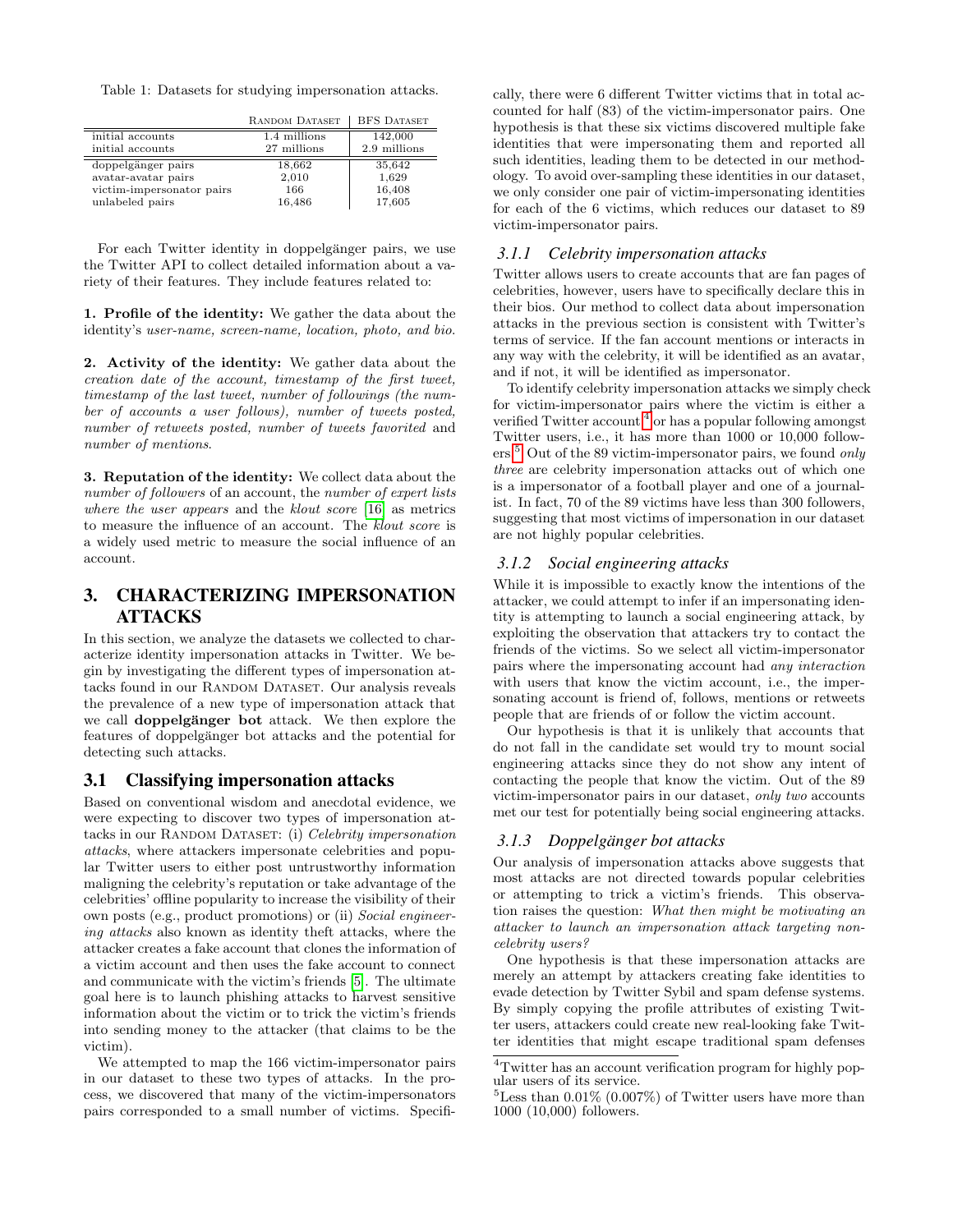<span id="page-4-0"></span>Table 1: Datasets for studying impersonation attacks.

|                           | RANDOM DATASET | <b>BFS DATASET</b> |
|---------------------------|----------------|--------------------|
| initial accounts          | 1.4 millions   | 142,000            |
| initial accounts          | 27 millions    | 2.9 millions       |
| doppelgänger pairs        | 18,662         | 35,642             |
| avatar-avatar pairs       | 2,010          | 1,629              |
| victim-impersonator pairs | 166            | 16,408             |
| unlabeled pairs           | 16,486         | 17,605             |

For each Twitter identity in doppelgänger pairs, we use the Twitter API to collect detailed information about a variety of their features. They include features related to:

1. Profile of the identity: We gather the data about the identity's user-name, screen-name, location, photo, and bio.

2. Activity of the identity: We gather data about the creation date of the account, timestamp of the first tweet, timestamp of the last tweet, number of followings (the number of accounts a user follows), number of tweets posted, number of retweets posted, number of tweets favorited and number of mentions.

3. Reputation of the identity: We collect data about the number of followers of an account, the number of expert lists where the user appears and the klout score [\[16\]](#page-11-12) as metrics to measure the influence of an account. The klout score is a widely used metric to measure the social influence of an account.

# 3. CHARACTERIZING IMPERSONATION **ATTACKS**

In this section, we analyze the datasets we collected to characterize identity impersonation attacks in Twitter. We begin by investigating the different types of impersonation attacks found in our RANDOM DATASET. Our analysis reveals the prevalence of a new type of impersonation attack that we call doppelgänger bot attack. We then explore the features of doppelgänger bot attacks and the potential for detecting such attacks.

## 3.1 Classifying impersonation attacks

Based on conventional wisdom and anecdotal evidence, we were expecting to discover two types of impersonation attacks in our RANDOM DATASET: (i) Celebrity impersonation attacks, where attackers impersonate celebrities and popular Twitter users to either post untrustworthy information maligning the celebrity's reputation or take advantage of the celebrities' offline popularity to increase the visibility of their own posts (e.g., product promotions) or (ii) Social engineering attacks also known as identity theft attacks, where the attacker creates a fake account that clones the information of a victim account and then uses the fake account to connect and communicate with the victim's friends [\[5\]](#page-11-13). The ultimate goal here is to launch phishing attacks to harvest sensitive information about the victim or to trick the victim's friends into sending money to the attacker (that claims to be the victim).

We attempted to map the 166 victim-impersonator pairs in our dataset to these two types of attacks. In the process, we discovered that many of the victim-impersonators pairs corresponded to a small number of victims. Specifically, there were 6 different Twitter victims that in total accounted for half (83) of the victim-impersonator pairs. One hypothesis is that these six victims discovered multiple fake identities that were impersonating them and reported all such identities, leading them to be detected in our methodology. To avoid over-sampling these identities in our dataset, we only consider one pair of victim-impersonating identities for each of the 6 victims, which reduces our dataset to 89 victim-impersonator pairs.

## *3.1.1 Celebrity impersonation attacks*

Twitter allows users to create accounts that are fan pages of celebrities, however, users have to specifically declare this in their bios. Our method to collect data about impersonation attacks in the previous section is consistent with Twitter's terms of service. If the fan account mentions or interacts in any way with the celebrity, it will be identified as an avatar, and if not, it will be identified as impersonator.

To identify celebrity impersonation attacks we simply check for victim-impersonator pairs where the victim is either a verified Twitter account <sup>[4](#page-4-1)</sup> or has a popular following amongst Twitter users, i.e., it has more than 1000 or 10,000 follow-ers.<sup>[5](#page-4-2)</sup> Out of the 89 victim-impersonator pairs, we found only three are celebrity impersonation attacks out of which one is a impersonator of a football player and one of a journalist. In fact, 70 of the 89 victims have less than 300 followers, suggesting that most victims of impersonation in our dataset are not highly popular celebrities.

## *3.1.2 Social engineering attacks*

While it is impossible to exactly know the intentions of the attacker, we could attempt to infer if an impersonating identity is attempting to launch a social engineering attack, by exploiting the observation that attackers try to contact the friends of the victims. So we select all victim-impersonator pairs where the impersonating account had any interaction with users that know the victim account, i.e., the impersonating account is friend of, follows, mentions or retweets people that are friends of or follow the victim account.

Our hypothesis is that it is unlikely that accounts that do not fall in the candidate set would try to mount social engineering attacks since they do not show any intent of contacting the people that know the victim. Out of the 89 victim-impersonator pairs in our dataset, only two accounts met our test for potentially being social engineering attacks.

## *3.1.3 Doppelgänger bot attacks*

Our analysis of impersonation attacks above suggests that most attacks are not directed towards popular celebrities or attempting to trick a victim's friends. This observation raises the question: What then might be motivating an attacker to launch an impersonation attack targeting noncelebrity users?

One hypothesis is that these impersonation attacks are merely an attempt by attackers creating fake identities to evade detection by Twitter Sybil and spam defense systems. By simply copying the profile attributes of existing Twitter users, attackers could create new real-looking fake Twitter identities that might escape traditional spam defenses

<span id="page-4-1"></span><sup>4</sup>Twitter has an account verification program for highly popular users of its service.

<span id="page-4-2"></span> $5$ Less than 0.01% (0.007%) of Twitter users have more than 1000 (10,000) followers.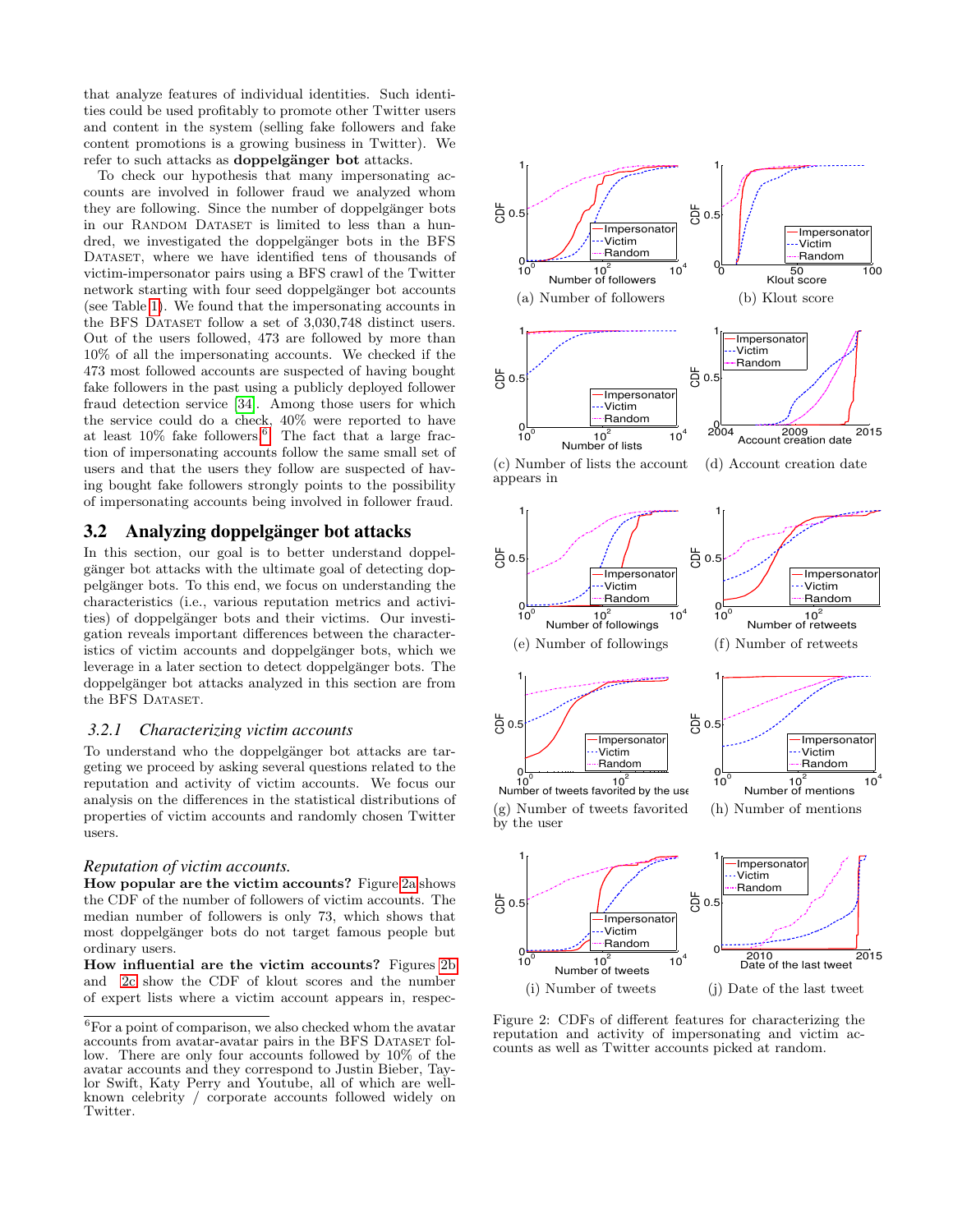that analyze features of individual identities. Such identities could be used profitably to promote other Twitter users and content in the system (selling fake followers and fake content promotions is a growing business in Twitter). We refer to such attacks as doppelgänger bot attacks.

To check our hypothesis that many impersonating accounts are involved in follower fraud we analyzed whom they are following. Since the number of doppelgänger bots in our RANDOM DATASET is limited to less than a hundred, we investigated the doppelgänger bots in the BFS DATASET, where we have identified tens of thousands of victim-impersonator pairs using a BFS crawl of the Twitter network starting with four seed doppelgänger bot accounts (see Table [1\)](#page-4-0). We found that the impersonating accounts in the BFS DATASET follow a set of 3,030,748 distinct users. Out of the users followed, 473 are followed by more than 10% of all the impersonating accounts. We checked if the 473 most followed accounts are suspected of having bought fake followers in the past using a publicly deployed follower fraud detection service [\[34\]](#page-12-2). Among those users for which the service could do a check, 40% were reported to have at least  $10\%$  fake followers.<sup>[6](#page-5-0)</sup> The fact that a large fraction of impersonating accounts follow the same small set of users and that the users they follow are suspected of having bought fake followers strongly points to the possibility of impersonating accounts being involved in follower fraud.

## 3.2 Analyzing doppelgänger bot attacks

In this section, our goal is to better understand doppelgänger bot attacks with the ultimate goal of detecting doppelgänger bots. To this end, we focus on understanding the characteristics (i.e., various reputation metrics and activities) of doppelgänger bots and their victims. Our investigation reveals important differences between the characteristics of victim accounts and doppelgänger bots, which we leverage in a later section to detect doppelgänger bots. The doppelgänger bot attacks analyzed in this section are from the BFS DATASET.

#### *3.2.1 Characterizing victim accounts*

To understand who the doppelgänger bot attacks are targeting we proceed by asking several questions related to the reputation and activity of victim accounts. We focus our analysis on the differences in the statistical distributions of properties of victim accounts and randomly chosen Twitter users.

#### *Reputation of victim accounts.*

How popular are the victim accounts? Figure [2a](#page-5-1) shows the CDF of the number of followers of victim accounts. The median number of followers is only 73, which shows that most doppelgänger bots do not target famous people but ordinary users.

How influential are the victim accounts? Figures [2b](#page-5-2) and [2c](#page-5-3) show the CDF of klout scores and the number of expert lists where a victim account appears in, respec-

<span id="page-5-0"></span> ${}^{6}$ For a point of comparison, we also checked whom the avatar accounts from avatar-avatar pairs in the BFS DATASET follow. There are only four accounts followed by 10% of the avatar accounts and they correspond to Justin Bieber, Taylor Swift, Katy Perry and Youtube, all of which are wellknown celebrity / corporate accounts followed widely on Twitter.

<span id="page-5-11"></span><span id="page-5-5"></span><span id="page-5-4"></span><span id="page-5-3"></span><span id="page-5-2"></span><span id="page-5-1"></span>

<span id="page-5-10"></span><span id="page-5-9"></span><span id="page-5-8"></span><span id="page-5-7"></span><span id="page-5-6"></span>Figure 2: CDFs of different features for characterizing the reputation and activity of impersonating and victim accounts as well as Twitter accounts picked at random.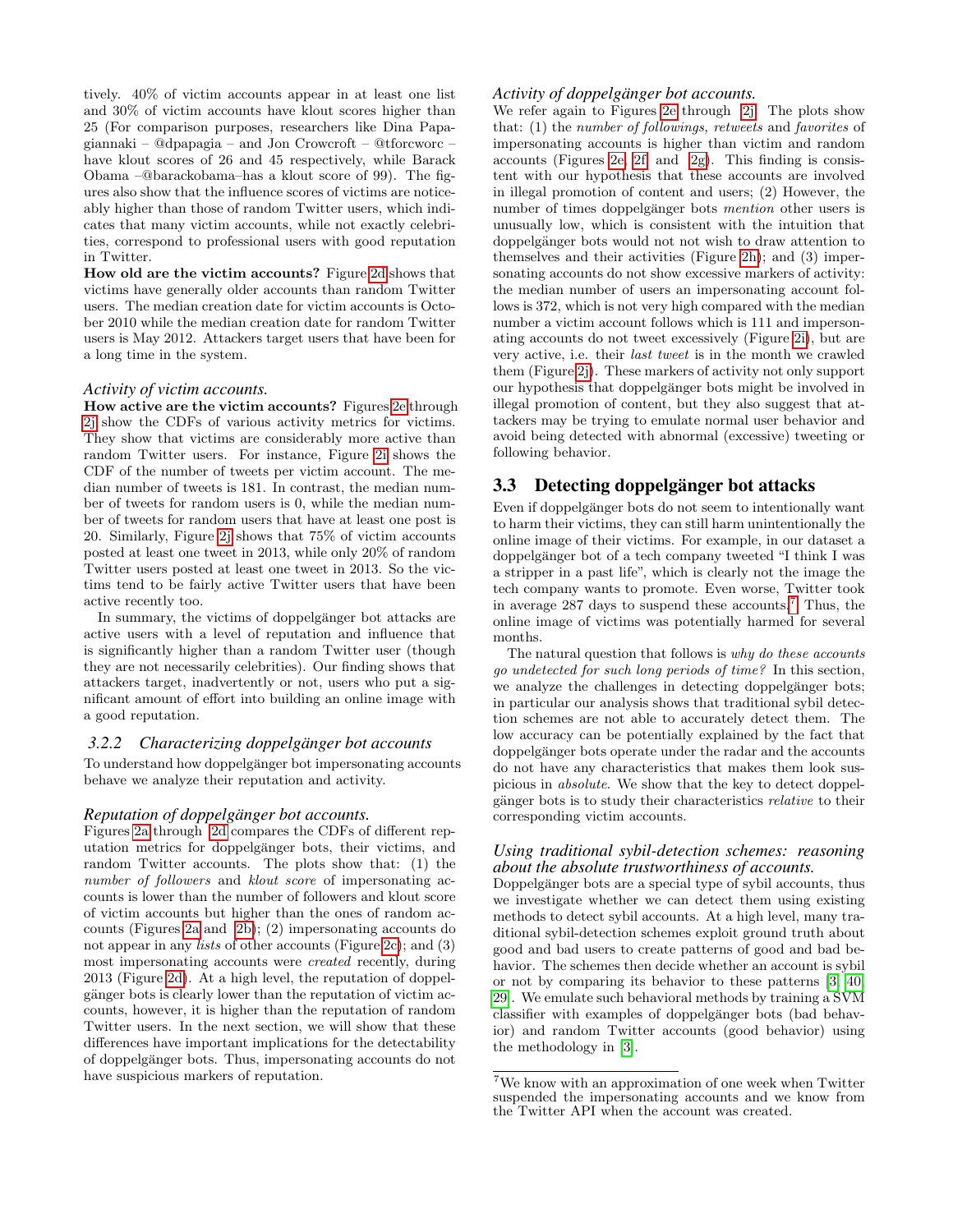tively. 40% of victim accounts appear in at least one list and 30% of victim accounts have klout scores higher than 25 (For comparison purposes, researchers like Dina Papagiannaki – @dpapagia – and Jon Crowcroft – @tforcworc – have klout scores of 26 and 45 respectively, while Barack Obama –@barackobama–has a klout score of 99). The figures also show that the influence scores of victims are noticeably higher than those of random Twitter users, which indicates that many victim accounts, while not exactly celebrities, correspond to professional users with good reputation in Twitter.

How old are the victim accounts? Figure [2d](#page-5-4) shows that victims have generally older accounts than random Twitter users. The median creation date for victim accounts is October 2010 while the median creation date for random Twitter users is May 2012. Attackers target users that have been for a long time in the system.

#### *Activity of victim accounts.*

How active are the victim accounts? Figures [2e](#page-5-5) through [2j](#page-5-6) show the CDFs of various activity metrics for victims. They show that victims are considerably more active than random Twitter users. For instance, Figure [2i](#page-5-7) shows the CDF of the number of tweets per victim account. The median number of tweets is 181. In contrast, the median number of tweets for random users is 0, while the median number of tweets for random users that have at least one post is 20. Similarly, Figure [2j](#page-5-6) shows that 75% of victim accounts posted at least one tweet in 2013, while only 20% of random Twitter users posted at least one tweet in 2013. So the victims tend to be fairly active Twitter users that have been active recently too.

In summary, the victims of doppelgänger bot attacks are active users with a level of reputation and influence that is significantly higher than a random Twitter user (though they are not necessarily celebrities). Our finding shows that attackers target, inadvertently or not, users who put a significant amount of effort into building an online image with a good reputation.

#### *3.2.2 Characterizing doppelgänger bot accounts*

To understand how doppelgänger bot impersonating accounts behave we analyze their reputation and activity.

#### *Reputation of doppelgänger bot accounts.*

Figures [2a](#page-5-1) through [2d](#page-5-4) compares the CDFs of different reputation metrics for doppelgänger bots, their victims, and random Twitter accounts. The plots show that: (1) the number of followers and klout score of impersonating accounts is lower than the number of followers and klout score of victim accounts but higher than the ones of random accounts (Figures [2a](#page-5-1) and [2b\)](#page-5-2); (2) impersonating accounts do not appear in any *lists* of other accounts (Figure [2c\)](#page-5-3); and (3) most impersonating accounts were created recently, during 2013 (Figure [2d\)](#page-5-4). At a high level, the reputation of doppelgänger bots is clearly lower than the reputation of victim accounts, however, it is higher than the reputation of random Twitter users. In the next section, we will show that these differences have important implications for the detectability of doppelgänger bots. Thus, impersonating accounts do not have suspicious markers of reputation.

## *Activity of doppelgänger bot accounts.*

We refer again to Figures [2e](#page-5-5) through [2j.](#page-5-6) The plots show that: (1) the number of followings, retweets and favorites of impersonating accounts is higher than victim and random accounts (Figures [2e,](#page-5-5) [2f,](#page-5-8) and [2g\)](#page-5-9). This finding is consistent with our hypothesis that these accounts are involved in illegal promotion of content and users; (2) However, the number of times doppelgänger bots *mention* other users is unusually low, which is consistent with the intuition that doppelgänger bots would not not wish to draw attention to themselves and their activities (Figure [2h\)](#page-5-10); and (3) impersonating accounts do not show excessive markers of activity: the median number of users an impersonating account follows is 372, which is not very high compared with the median number a victim account follows which is 111 and impersonating accounts do not tweet excessively (Figure [2i\)](#page-5-7), but are very active, i.e. their last tweet is in the month we crawled them (Figure [2j\)](#page-5-6). These markers of activity not only support our hypothesis that doppelgänger bots might be involved in illegal promotion of content, but they also suggest that attackers may be trying to emulate normal user behavior and avoid being detected with abnormal (excessive) tweeting or following behavior.

## <span id="page-6-1"></span>3.3 Detecting doppelgänger bot attacks

Even if doppelgänger bots do not seem to intentionally want to harm their victims, they can still harm unintentionally the online image of their victims. For example, in our dataset a doppelgänger bot of a tech company tweeted "I think I was a stripper in a past life", which is clearly not the image the tech company wants to promote. Even worse, Twitter took in average 28[7](#page-6-0) days to suspend these accounts.<sup>7</sup> Thus, the online image of victims was potentially harmed for several months.

The natural question that follows is *why do these accounts* go undetected for such long periods of time? In this section, we analyze the challenges in detecting doppelgänger bots; in particular our analysis shows that traditional sybil detection schemes are not able to accurately detect them. The low accuracy can be potentially explained by the fact that doppelgänger bots operate under the radar and the accounts do not have any characteristics that makes them look suspicious in absolute. We show that the key to detect doppelgänger bots is to study their characteristics *relative* to their corresponding victim accounts.

## *Using traditional sybil-detection schemes: reasoning about the absolute trustworthiness of accounts.*

Doppelgänger bots are a special type of sybil accounts, thus we investigate whether we can detect them using existing methods to detect sybil accounts. At a high level, many traditional sybil-detection schemes exploit ground truth about good and bad users to create patterns of good and bad behavior. The schemes then decide whether an account is sybil or not by comparing its behavior to these patterns [\[3,](#page-11-14) [40,](#page-12-3) [29\]](#page-11-15). We emulate such behavioral methods by training a SVM classifier with examples of doppelgänger bots (bad behavior) and random Twitter accounts (good behavior) using the methodology in [\[3\]](#page-11-14).

<span id="page-6-0"></span> ${\rm ^7We}$  know with an approximation of one week when Twitter suspended the impersonating accounts and we know from the Twitter API when the account was created.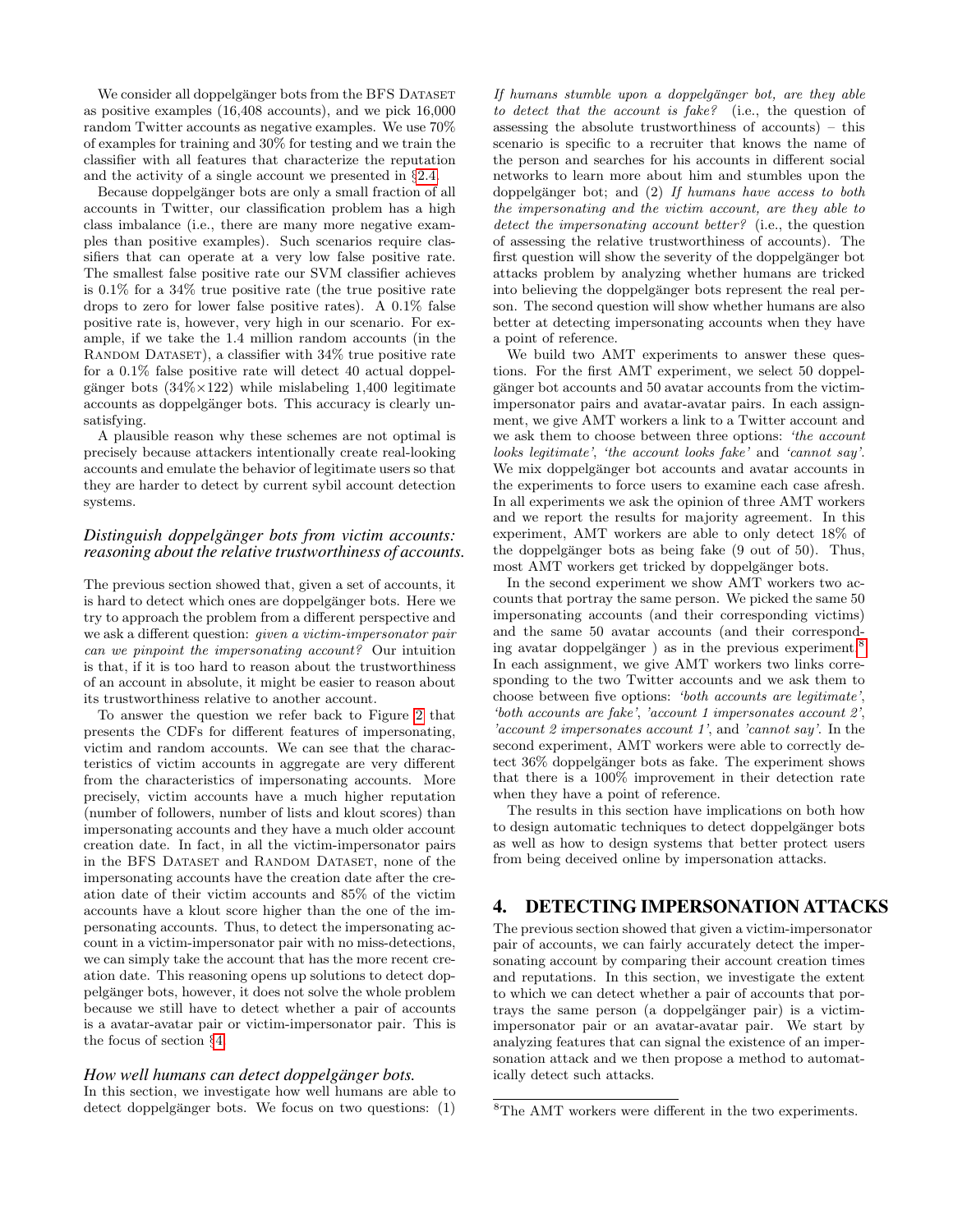We consider all doppelgänger bots from the BFS DATASET as positive examples (16,408 accounts), and we pick 16,000 random Twitter accounts as negative examples. We use 70% of examples for training and 30% for testing and we train the classifier with all features that characterize the reputation and the activity of a single account we presented in §[2.4.](#page-3-0)

Because doppelgänger bots are only a small fraction of all accounts in Twitter, our classification problem has a high class imbalance (i.e., there are many more negative examples than positive examples). Such scenarios require classifiers that can operate at a very low false positive rate. The smallest false positive rate our SVM classifier achieves is 0.1% for a 34% true positive rate (the true positive rate drops to zero for lower false positive rates). A 0.1% false positive rate is, however, very high in our scenario. For example, if we take the 1.4 million random accounts (in the RANDOM DATASET), a classifier with 34% true positive rate for a 0.1% false positive rate will detect 40 actual doppelgänger bots  $(34\% \times 122)$  while mislabeling 1,400 legitimate accounts as doppelgänger bots. This accuracy is clearly unsatisfying.

A plausible reason why these schemes are not optimal is precisely because attackers intentionally create real-looking accounts and emulate the behavior of legitimate users so that they are harder to detect by current sybil account detection systems.

#### *Distinguish doppelgänger bots from victim accounts: reasoning about the relative trustworthiness of accounts.*

The previous section showed that, given a set of accounts, it is hard to detect which ones are doppelgänger bots. Here we try to approach the problem from a different perspective and we ask a different question: given a victim-impersonator pair can we pinpoint the impersonating account? Our intuition is that, if it is too hard to reason about the trustworthiness of an account in absolute, it might be easier to reason about its trustworthiness relative to another account.

To answer the question we refer back to Figure [2](#page-5-11) that presents the CDFs for different features of impersonating, victim and random accounts. We can see that the characteristics of victim accounts in aggregate are very different from the characteristics of impersonating accounts. More precisely, victim accounts have a much higher reputation (number of followers, number of lists and klout scores) than impersonating accounts and they have a much older account creation date. In fact, in all the victim-impersonator pairs in the BFS DATASET and RANDOM DATASET, none of the impersonating accounts have the creation date after the creation date of their victim accounts and 85% of the victim accounts have a klout score higher than the one of the impersonating accounts. Thus, to detect the impersonating account in a victim-impersonator pair with no miss-detections, we can simply take the account that has the more recent creation date. This reasoning opens up solutions to detect doppelgänger bots, however, it does not solve the whole problem because we still have to detect whether a pair of accounts is a avatar-avatar pair or victim-impersonator pair. This is the focus of section §[4.](#page-7-0)

#### *How well humans can detect doppelgänger bots.*

In this section, we investigate how well humans are able to detect doppelgänger bots. We focus on two questions:  $(1)$ 

If humans stumble upon a doppelgänger bot, are they able to detect that the account is fake? (i.e., the question of assessing the absolute trustworthiness of accounts) – this scenario is specific to a recruiter that knows the name of the person and searches for his accounts in different social networks to learn more about him and stumbles upon the doppelgänger bot; and  $(2)$  If humans have access to both the impersonating and the victim account, are they able to detect the impersonating account better? (i.e., the question of assessing the relative trustworthiness of accounts). The first question will show the severity of the doppelgänger bot attacks problem by analyzing whether humans are tricked into believing the doppelgänger bots represent the real person. The second question will show whether humans are also better at detecting impersonating accounts when they have a point of reference.

We build two AMT experiments to answer these questions. For the first AMT experiment, we select 50 doppelgänger bot accounts and 50 avatar accounts from the victimimpersonator pairs and avatar-avatar pairs. In each assignment, we give AMT workers a link to a Twitter account and we ask them to choose between three options: 'the account looks legitimate', 'the account looks fake' and 'cannot say'. We mix doppelgänger bot accounts and avatar accounts in the experiments to force users to examine each case afresh. In all experiments we ask the opinion of three AMT workers and we report the results for majority agreement. In this experiment, AMT workers are able to only detect 18% of the doppelgänger bots as being fake  $(9 \text{ out of } 50)$ . Thus, most AMT workers get tricked by doppelgänger bots.

In the second experiment we show AMT workers two accounts that portray the same person. We picked the same 50 impersonating accounts (and their corresponding victims) and the same 50 avatar accounts (and their correspond-ing avatar doppelgänger) as in the previous experiment.<sup>[8](#page-7-1)</sup> In each assignment, we give AMT workers two links corresponding to the two Twitter accounts and we ask them to choose between five options: 'both accounts are legitimate', 'both accounts are fake', 'account 1 impersonates account 2', 'account 2 impersonates account 1', and 'cannot say'. In the second experiment, AMT workers were able to correctly detect 36% doppelgänger bots as fake. The experiment shows that there is a 100% improvement in their detection rate when they have a point of reference.

The results in this section have implications on both how to design automatic techniques to detect doppelgänger bots as well as how to design systems that better protect users from being deceived online by impersonation attacks.

# <span id="page-7-0"></span>4. DETECTING IMPERSONATION ATTACKS

The previous section showed that given a victim-impersonator pair of accounts, we can fairly accurately detect the impersonating account by comparing their account creation times and reputations. In this section, we investigate the extent to which we can detect whether a pair of accounts that portrays the same person (a doppelgänger pair) is a victimimpersonator pair or an avatar-avatar pair. We start by analyzing features that can signal the existence of an impersonation attack and we then propose a method to automatically detect such attacks.

<span id="page-7-1"></span><sup>8</sup>The AMT workers were different in the two experiments.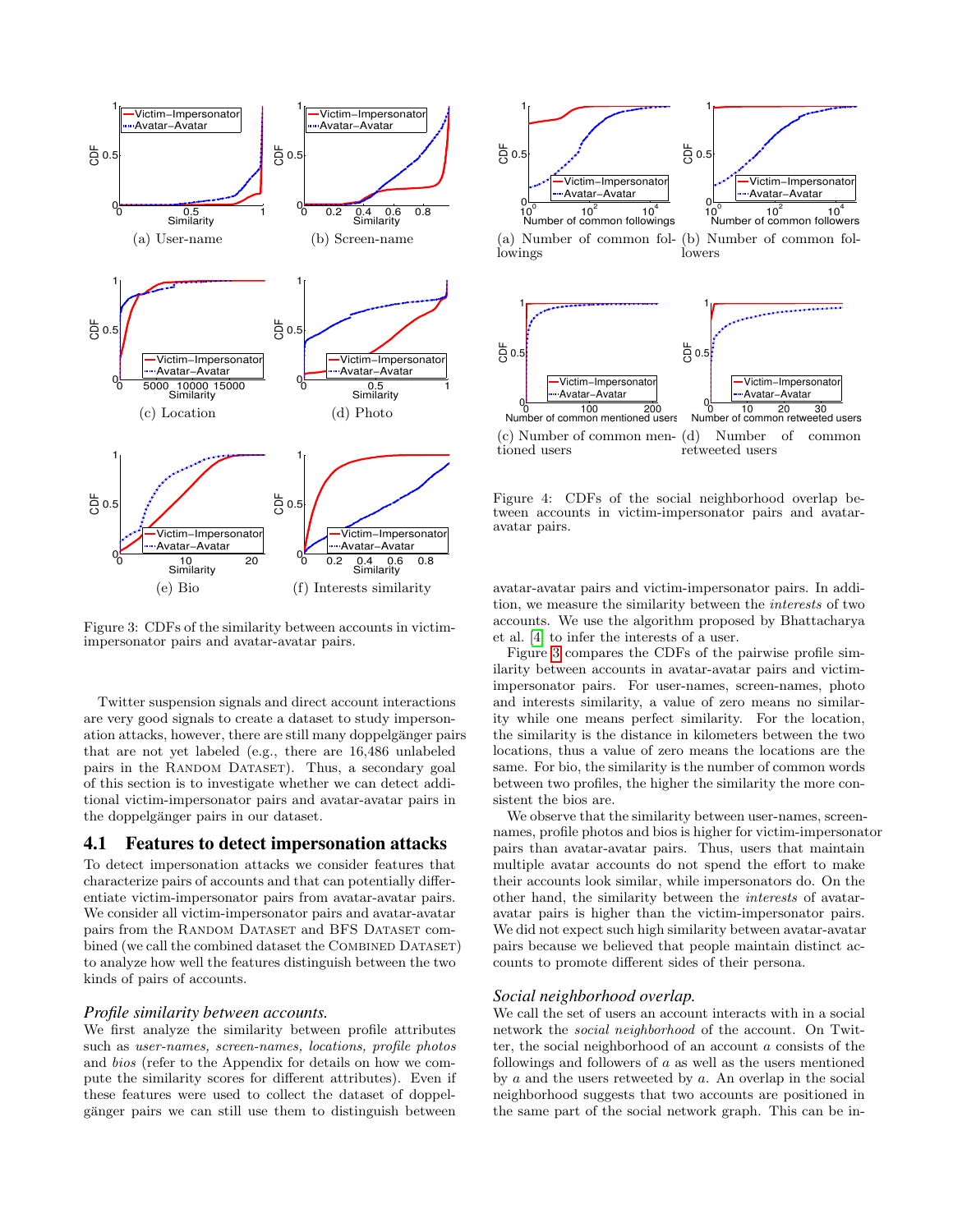<span id="page-8-0"></span>

Figure 3: CDFs of the similarity between accounts in victimimpersonator pairs and avatar-avatar pairs.

Twitter suspension signals and direct account interactions are very good signals to create a dataset to study impersonation attacks, however, there are still many doppelgänger pairs that are not yet labeled (e.g., there are 16,486 unlabeled pairs in the RANDOM DATASET). Thus, a secondary goal of this section is to investigate whether we can detect additional victim-impersonator pairs and avatar-avatar pairs in the doppelgänger pairs in our dataset.

#### <span id="page-8-2"></span>4.1 Features to detect impersonation attacks

To detect impersonation attacks we consider features that characterize pairs of accounts and that can potentially differentiate victim-impersonator pairs from avatar-avatar pairs. We consider all victim-impersonator pairs and avatar-avatar pairs from the RANDOM DATASET and BFS DATASET combined (we call the combined dataset the COMBINED DATASET) to analyze how well the features distinguish between the two kinds of pairs of accounts.

#### *Profile similarity between accounts.*

We first analyze the similarity between profile attributes such as user-names, screen-names, locations, profile photos and bios (refer to the Appendix for details on how we compute the similarity scores for different attributes). Even if these features were used to collect the dataset of doppelgänger pairs we can still use them to distinguish between

<span id="page-8-1"></span>

(c) Number of common mentioned users (d) Number of common retweeted users

Figure 4: CDFs of the social neighborhood overlap between accounts in victim-impersonator pairs and avataravatar pairs.

avatar-avatar pairs and victim-impersonator pairs. In addition, we measure the similarity between the interests of two accounts. We use the algorithm proposed by Bhattacharya et al. [\[4\]](#page-11-16) to infer the interests of a user.

Figure [3](#page-8-0) compares the CDFs of the pairwise profile similarity between accounts in avatar-avatar pairs and victimimpersonator pairs. For user-names, screen-names, photo and interests similarity, a value of zero means no similarity while one means perfect similarity. For the location, the similarity is the distance in kilometers between the two locations, thus a value of zero means the locations are the same. For bio, the similarity is the number of common words between two profiles, the higher the similarity the more consistent the bios are.

We observe that the similarity between user-names, screennames, profile photos and bios is higher for victim-impersonator pairs than avatar-avatar pairs. Thus, users that maintain multiple avatar accounts do not spend the effort to make their accounts look similar, while impersonators do. On the other hand, the similarity between the interests of avataravatar pairs is higher than the victim-impersonator pairs. We did not expect such high similarity between avatar-avatar pairs because we believed that people maintain distinct accounts to promote different sides of their persona.

#### *Social neighborhood overlap.*

We call the set of users an account interacts with in a social network the social neighborhood of the account. On Twitter, the social neighborhood of an account a consists of the followings and followers of  $a$  as well as the users mentioned by a and the users retweeted by a. An overlap in the social neighborhood suggests that two accounts are positioned in the same part of the social network graph. This can be in-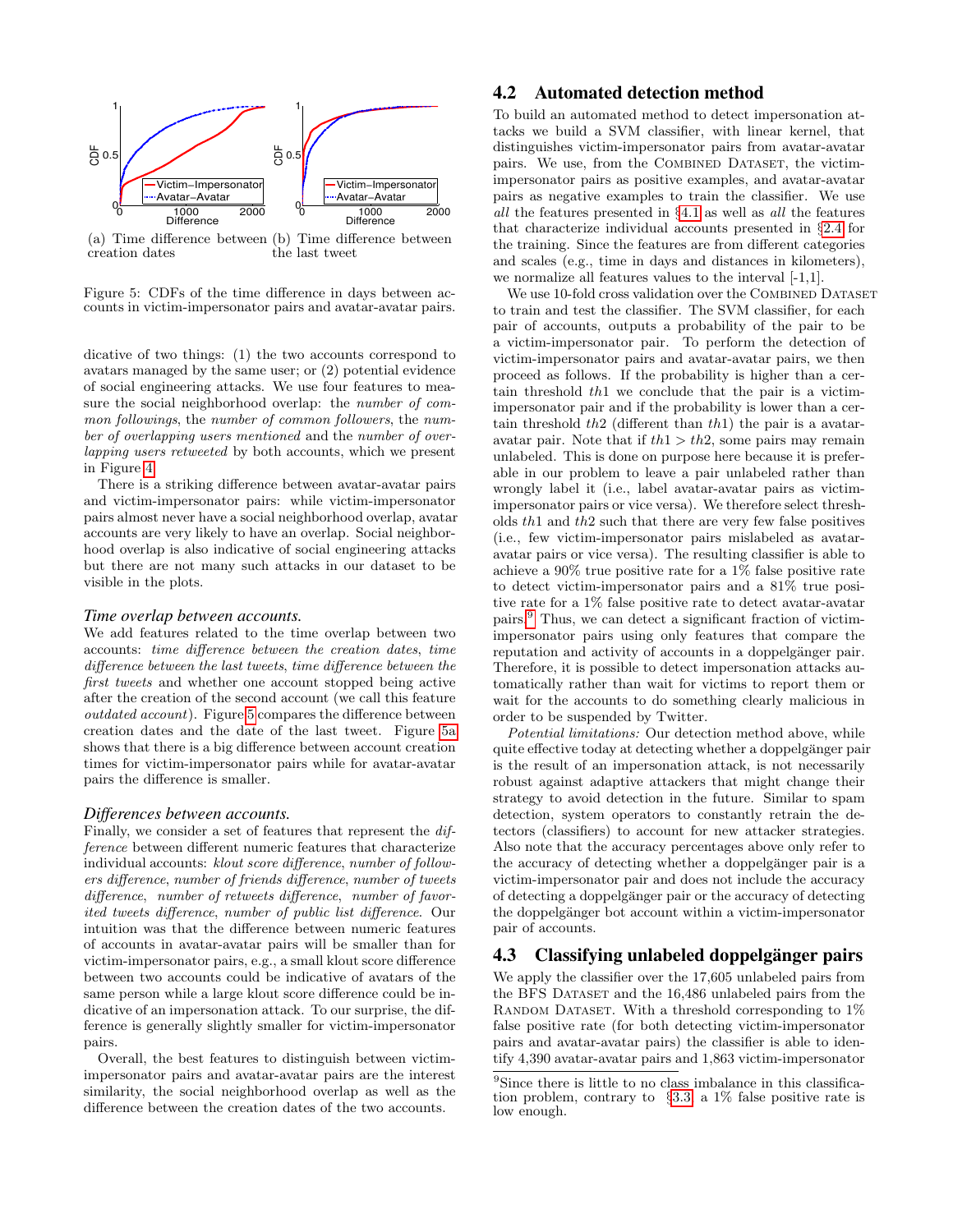<span id="page-9-2"></span><span id="page-9-1"></span>

(a) Time difference between (b) Time difference between creation dates the last tweet

Figure 5: CDFs of the time difference in days between accounts in victim-impersonator pairs and avatar-avatar pairs.

dicative of two things: (1) the two accounts correspond to avatars managed by the same user; or (2) potential evidence of social engineering attacks. We use four features to measure the social neighborhood overlap: the number of common followings, the number of common followers, the number of overlapping users mentioned and the number of overlapping users retweeted by both accounts, which we present in Figure [4.](#page-8-1)

There is a striking difference between avatar-avatar pairs and victim-impersonator pairs: while victim-impersonator pairs almost never have a social neighborhood overlap, avatar accounts are very likely to have an overlap. Social neighborhood overlap is also indicative of social engineering attacks but there are not many such attacks in our dataset to be visible in the plots.

#### *Time overlap between accounts.*

We add features related to the time overlap between two accounts: time difference between the creation dates, time difference between the last tweets, time difference between the first tweets and whether one account stopped being active after the creation of the second account (we call this feature outdated account). Figure [5](#page-9-1) compares the difference between creation dates and the date of the last tweet. Figure [5a](#page-9-2) shows that there is a big difference between account creation times for victim-impersonator pairs while for avatar-avatar pairs the difference is smaller.

## *Differences between accounts.*

Finally, we consider a set of features that represent the difference between different numeric features that characterize individual accounts: klout score difference, number of followers difference, number of friends difference, number of tweets difference, number of retweets difference, number of favorited tweets difference, number of public list difference. Our intuition was that the difference between numeric features of accounts in avatar-avatar pairs will be smaller than for victim-impersonator pairs, e.g., a small klout score difference between two accounts could be indicative of avatars of the same person while a large klout score difference could be indicative of an impersonation attack. To our surprise, the difference is generally slightly smaller for victim-impersonator pairs.

Overall, the best features to distinguish between victimimpersonator pairs and avatar-avatar pairs are the interest similarity, the social neighborhood overlap as well as the difference between the creation dates of the two accounts.

# <span id="page-9-0"></span>4.2 Automated detection method

To build an automated method to detect impersonation attacks we build a SVM classifier, with linear kernel, that distinguishes victim-impersonator pairs from avatar-avatar pairs. We use, from the COMBINED DATASET, the victimimpersonator pairs as positive examples, and avatar-avatar pairs as negative examples to train the classifier. We use all the features presented in §[4.1](#page-8-2) as well as all the features that characterize individual accounts presented in §[2.4](#page-3-0) for the training. Since the features are from different categories and scales (e.g., time in days and distances in kilometers), we normalize all features values to the interval [-1,1].

We use 10-fold cross validation over the COMBINED DATASET to train and test the classifier. The SVM classifier, for each pair of accounts, outputs a probability of the pair to be a victim-impersonator pair. To perform the detection of victim-impersonator pairs and avatar-avatar pairs, we then proceed as follows. If the probability is higher than a certain threshold th1 we conclude that the pair is a victimimpersonator pair and if the probability is lower than a certain threshold  $th2$  (different than  $th1$ ) the pair is a avataravatar pair. Note that if  $th1 > th2$ , some pairs may remain unlabeled. This is done on purpose here because it is preferable in our problem to leave a pair unlabeled rather than wrongly label it (i.e., label avatar-avatar pairs as victimimpersonator pairs or vice versa). We therefore select thresholds  $th1$  and  $th2$  such that there are very few false positives (i.e., few victim-impersonator pairs mislabeled as avataravatar pairs or vice versa). The resulting classifier is able to achieve a 90% true positive rate for a 1% false positive rate to detect victim-impersonator pairs and a 81% true positive rate for a 1% false positive rate to detect avatar-avatar pairs.[9](#page-9-3) Thus, we can detect a significant fraction of victimimpersonator pairs using only features that compare the reputation and activity of accounts in a doppelgänger pair. Therefore, it is possible to detect impersonation attacks automatically rather than wait for victims to report them or wait for the accounts to do something clearly malicious in order to be suspended by Twitter.

Potential limitations: Our detection method above, while quite effective today at detecting whether a doppelgänger pair is the result of an impersonation attack, is not necessarily robust against adaptive attackers that might change their strategy to avoid detection in the future. Similar to spam detection, system operators to constantly retrain the detectors (classifiers) to account for new attacker strategies. Also note that the accuracy percentages above only refer to the accuracy of detecting whether a doppelgänger pair is a victim-impersonator pair and does not include the accuracy of detecting a doppelgänger pair or the accuracy of detecting the doppelgänger bot account within a victim-impersonator pair of accounts.

## 4.3 Classifying unlabeled doppelgänger pairs

We apply the classifier over the 17,605 unlabeled pairs from the BFS DATASET and the 16,486 unlabeled pairs from the RANDOM DATASET. With a threshold corresponding to  $1\%$ false positive rate (for both detecting victim-impersonator pairs and avatar-avatar pairs) the classifier is able to identify 4,390 avatar-avatar pairs and 1,863 victim-impersonator

<span id="page-9-3"></span> $9$ Since there is little to no class imbalance in this classification problem, contrary to §[3.3,](#page-6-1) a 1% false positive rate is low enough.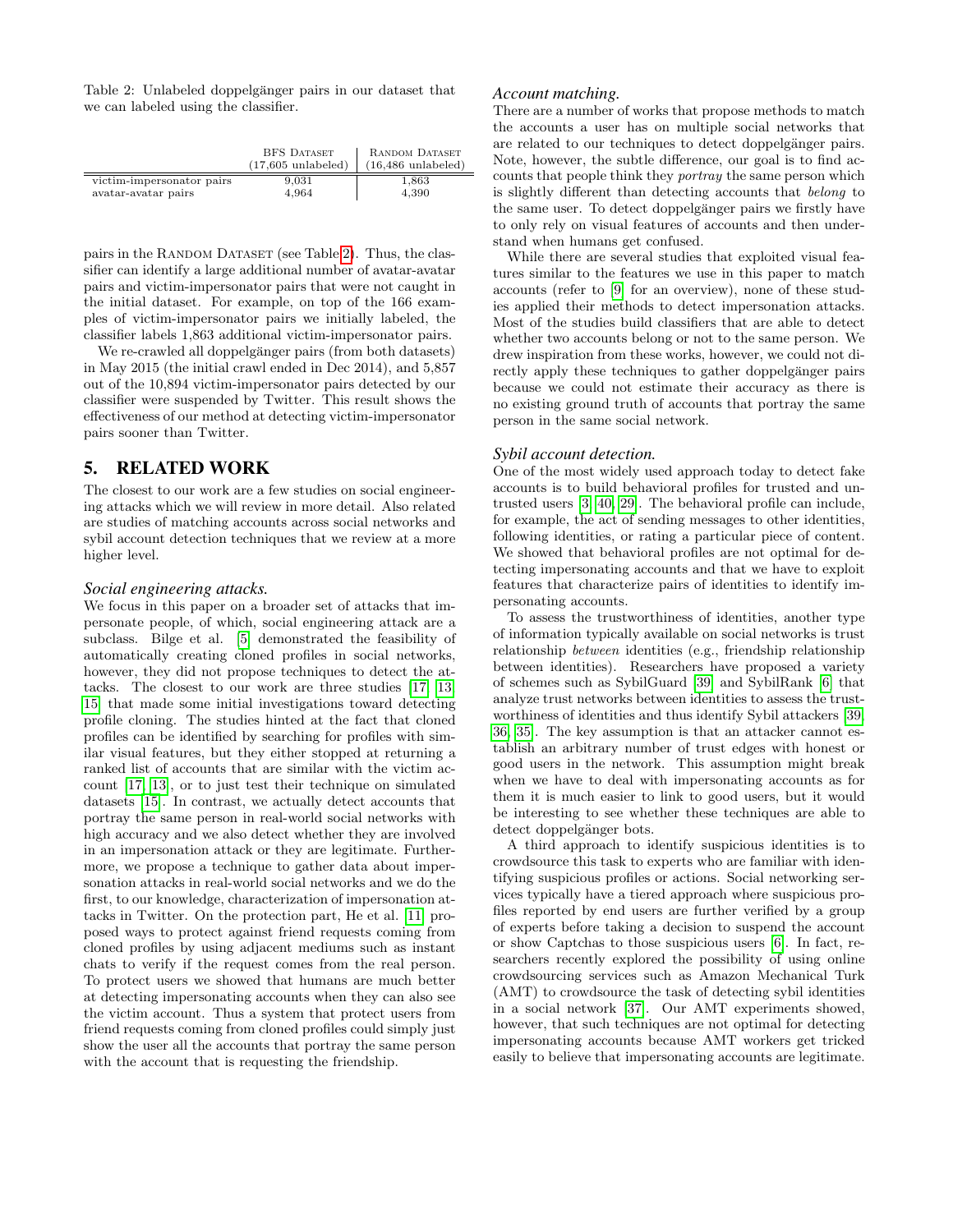<span id="page-10-0"></span>Table 2: Unlabeled doppelgänger pairs in our dataset that we can labeled using the classifier.

|                           | <b>BFS DATASET</b><br>$(17,605 \text{ unlabeled})$ | RANDOM DATASET<br>$(16,486 \text{ unlabeled})$ |
|---------------------------|----------------------------------------------------|------------------------------------------------|
| victim-impersonator pairs | 9.031                                              | 1,863                                          |
| avatar-avatar pairs       | 4.964                                              | 4.390                                          |

pairs in the RANDOM DATASET (see Table [2\)](#page-10-0). Thus, the classifier can identify a large additional number of avatar-avatar pairs and victim-impersonator pairs that were not caught in the initial dataset. For example, on top of the 166 examples of victim-impersonator pairs we initially labeled, the classifier labels 1,863 additional victim-impersonator pairs.

We re-crawled all doppelgänger pairs (from both datasets) in May 2015 (the initial crawl ended in Dec 2014), and 5,857 out of the 10,894 victim-impersonator pairs detected by our classifier were suspended by Twitter. This result shows the effectiveness of our method at detecting victim-impersonator pairs sooner than Twitter.

## 5. RELATED WORK

The closest to our work are a few studies on social engineering attacks which we will review in more detail. Also related are studies of matching accounts across social networks and sybil account detection techniques that we review at a more higher level.

#### *Social engineering attacks.*

We focus in this paper on a broader set of attacks that impersonate people, of which, social engineering attack are a subclass. Bilge et al. [\[5\]](#page-11-13) demonstrated the feasibility of automatically creating cloned profiles in social networks, however, they did not propose techniques to detect the attacks. The closest to our work are three studies [\[17,](#page-11-17) [13,](#page-11-18) [15\]](#page-11-19) that made some initial investigations toward detecting profile cloning. The studies hinted at the fact that cloned profiles can be identified by searching for profiles with similar visual features, but they either stopped at returning a ranked list of accounts that are similar with the victim account [\[17,](#page-11-17) [13\]](#page-11-18), or to just test their technique on simulated datasets [\[15\]](#page-11-19). In contrast, we actually detect accounts that portray the same person in real-world social networks with high accuracy and we also detect whether they are involved in an impersonation attack or they are legitimate. Furthermore, we propose a technique to gather data about impersonation attacks in real-world social networks and we do the first, to our knowledge, characterization of impersonation attacks in Twitter. On the protection part, He et al. [\[11\]](#page-11-20) proposed ways to protect against friend requests coming from cloned profiles by using adjacent mediums such as instant chats to verify if the request comes from the real person. To protect users we showed that humans are much better at detecting impersonating accounts when they can also see the victim account. Thus a system that protect users from friend requests coming from cloned profiles could simply just show the user all the accounts that portray the same person with the account that is requesting the friendship.

## *Account matching.*

There are a number of works that propose methods to match the accounts a user has on multiple social networks that are related to our techniques to detect doppelgänger pairs. Note, however, the subtle difference, our goal is to find accounts that people think they portray the same person which is slightly different than detecting accounts that belong to the same user. To detect doppelgänger pairs we firstly have to only rely on visual features of accounts and then understand when humans get confused.

While there are several studies that exploited visual features similar to the features we use in this paper to match accounts (refer to [\[9\]](#page-11-21) for an overview), none of these studies applied their methods to detect impersonation attacks. Most of the studies build classifiers that are able to detect whether two accounts belong or not to the same person. We drew inspiration from these works, however, we could not directly apply these techniques to gather doppelgänger pairs because we could not estimate their accuracy as there is no existing ground truth of accounts that portray the same person in the same social network.

#### *Sybil account detection.*

One of the most widely used approach today to detect fake accounts is to build behavioral profiles for trusted and untrusted users [\[3,](#page-11-14) [40,](#page-12-3) [29\]](#page-11-15). The behavioral profile can include, for example, the act of sending messages to other identities, following identities, or rating a particular piece of content. We showed that behavioral profiles are not optimal for detecting impersonating accounts and that we have to exploit features that characterize pairs of identities to identify impersonating accounts.

To assess the trustworthiness of identities, another type of information typically available on social networks is trust relationship between identities (e.g., friendship relationship between identities). Researchers have proposed a variety of schemes such as SybilGuard [\[39\]](#page-12-4) and SybilRank [\[6\]](#page-11-22) that analyze trust networks between identities to assess the trustworthiness of identities and thus identify Sybil attackers [\[39,](#page-12-4) [36,](#page-12-5) [35\]](#page-12-6). The key assumption is that an attacker cannot establish an arbitrary number of trust edges with honest or good users in the network. This assumption might break when we have to deal with impersonating accounts as for them it is much easier to link to good users, but it would be interesting to see whether these techniques are able to detect doppelgänger bots.

A third approach to identify suspicious identities is to crowdsource this task to experts who are familiar with identifying suspicious profiles or actions. Social networking services typically have a tiered approach where suspicious profiles reported by end users are further verified by a group of experts before taking a decision to suspend the account or show Captchas to those suspicious users [\[6\]](#page-11-22). In fact, researchers recently explored the possibility of using online crowdsourcing services such as Amazon Mechanical Turk (AMT) to crowdsource the task of detecting sybil identities in a social network [\[37\]](#page-12-7). Our AMT experiments showed, however, that such techniques are not optimal for detecting impersonating accounts because AMT workers get tricked easily to believe that impersonating accounts are legitimate.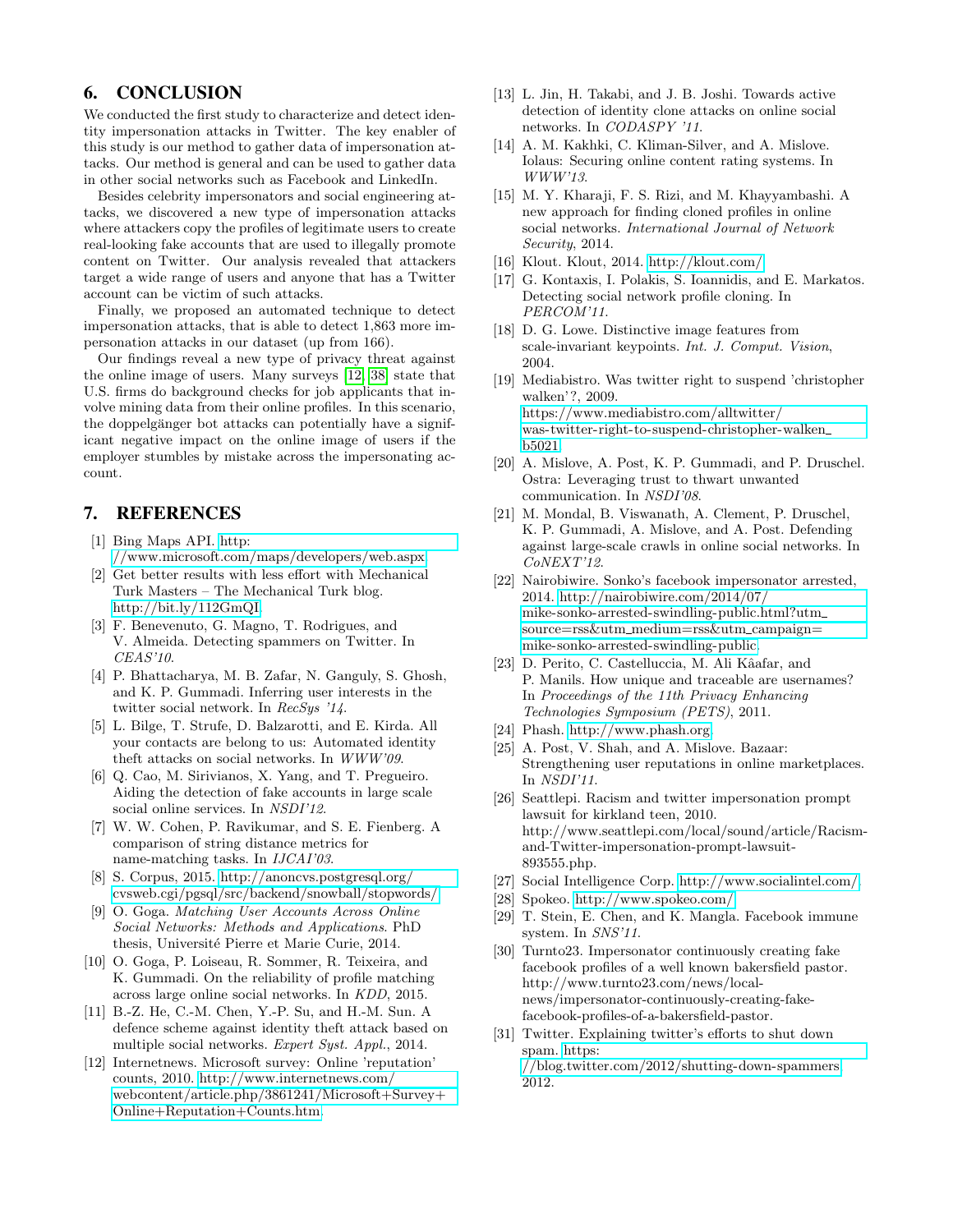# 6. CONCLUSION

We conducted the first study to characterize and detect identity impersonation attacks in Twitter. The key enabler of this study is our method to gather data of impersonation attacks. Our method is general and can be used to gather data in other social networks such as Facebook and LinkedIn.

Besides celebrity impersonators and social engineering attacks, we discovered a new type of impersonation attacks where attackers copy the profiles of legitimate users to create real-looking fake accounts that are used to illegally promote content on Twitter. Our analysis revealed that attackers target a wide range of users and anyone that has a Twitter account can be victim of such attacks.

Finally, we proposed an automated technique to detect impersonation attacks, that is able to detect 1,863 more impersonation attacks in our dataset (up from 166).

Our findings reveal a new type of privacy threat against the online image of users. Many surveys [\[12,](#page-11-23) [38\]](#page-12-8) state that U.S. firms do background checks for job applicants that involve mining data from their online profiles. In this scenario, the doppelgänger bot attacks can potentially have a significant negative impact on the online image of users if the employer stumbles by mistake across the impersonating account.

# 7. REFERENCES

- <span id="page-11-28"></span>[1] Bing Maps API. [http:](http://www.microsoft.com/maps/developers/web.aspx) [//www.microsoft.com/maps/developers/web.aspx.](http://www.microsoft.com/maps/developers/web.aspx)
- <span id="page-11-30"></span>[2] Get better results with less effort with Mechanical Turk Masters – The Mechanical Turk blog. [http://bit.ly/112GmQI.](http://bit.ly/112GmQI)
- <span id="page-11-14"></span>[3] F. Benevenuto, G. Magno, T. Rodrigues, and V. Almeida. Detecting spammers on Twitter. In CEAS'10.
- <span id="page-11-16"></span>[4] P. Bhattacharya, M. B. Zafar, N. Ganguly, S. Ghosh, and K. P. Gummadi. Inferring user interests in the twitter social network. In RecSys '14.
- <span id="page-11-13"></span>[5] L. Bilge, T. Strufe, D. Balzarotti, and E. Kirda. All your contacts are belong to us: Automated identity theft attacks on social networks. In WWW'09.
- <span id="page-11-22"></span>[6] Q. Cao, M. Sirivianos, X. Yang, and T. Pregueiro. Aiding the detection of fake accounts in large scale social online services. In NSDI'12.
- <span id="page-11-24"></span>[7] W. W. Cohen, P. Ravikumar, and S. E. Fienberg. A comparison of string distance metrics for name-matching tasks. In IJCAI'03.
- <span id="page-11-29"></span>[8] S. Corpus, 2015. [http://anoncvs.postgresql.org/](http://anoncvs.postgresql.org/cvsweb.cgi/pgsql/src/backend/snowball/stopwords/) [cvsweb.cgi/pgsql/src/backend/snowball/stopwords/.](http://anoncvs.postgresql.org/cvsweb.cgi/pgsql/src/backend/snowball/stopwords/)
- <span id="page-11-21"></span>[9] O. Goga. Matching User Accounts Across Online Social Networks: Methods and Applications. PhD thesis, Université Pierre et Marie Curie, 2014.
- <span id="page-11-11"></span>[10] O. Goga, P. Loiseau, R. Sommer, R. Teixeira, and K. Gummadi. On the reliability of profile matching across large online social networks. In KDD, 2015.
- <span id="page-11-20"></span>[11] B.-Z. He, C.-M. Chen, Y.-P. Su, and H.-M. Sun. A defence scheme against identity theft attack based on multiple social networks. Expert Syst. Appl., 2014.
- <span id="page-11-23"></span>[12] Internetnews. Microsoft survey: Online 'reputation' counts, 2010. [http://www.internetnews.com/](http://www.internetnews.com/webcontent/article.php/3861241/Microsoft+Survey+Online+Reputation+Counts.htm) [webcontent/article.php/3861241/Microsoft+Survey+](http://www.internetnews.com/webcontent/article.php/3861241/Microsoft+Survey+Online+Reputation+Counts.htm) [Online+Reputation+Counts.htm.](http://www.internetnews.com/webcontent/article.php/3861241/Microsoft+Survey+Online+Reputation+Counts.htm)
- <span id="page-11-18"></span>[13] L. Jin, H. Takabi, and J. B. Joshi. Towards active detection of identity clone attacks on online social networks. In CODASPY '11.
- <span id="page-11-4"></span>[14] A. M. Kakhki, C. Kliman-Silver, and A. Mislove. Iolaus: Securing online content rating systems. In WWW'13.
- <span id="page-11-19"></span>[15] M. Y. Kharaji, F. S. Rizi, and M. Khayyambashi. A new approach for finding cloned profiles in online social networks. International Journal of Network Security, 2014.
- <span id="page-11-12"></span>[16] Klout. Klout, 2014. [http://klout.com/.](http://klout.com/)
- <span id="page-11-17"></span>[17] G. Kontaxis, I. Polakis, S. Ioannidis, and E. Markatos. Detecting social network profile cloning. In PERCOM'11.
- <span id="page-11-27"></span>[18] D. G. Lowe. Distinctive image features from scale-invariant keypoints. Int. J. Comput. Vision, 2004.
- <span id="page-11-5"></span>[19] Mediabistro. Was twitter right to suspend 'christopher walken'?, 2009. [https://www.mediabistro.com/alltwitter/](https://www.mediabistro.com/alltwitter/was-twitter-right-to-suspend-christopher-walken_b5021)

[was-twitter-right-to-suspend-christopher-walken](https://www.mediabistro.com/alltwitter/was-twitter-right-to-suspend-christopher-walken_b5021) [b5021.](https://www.mediabistro.com/alltwitter/was-twitter-right-to-suspend-christopher-walken_b5021)

- <span id="page-11-1"></span>[20] A. Mislove, A. Post, K. P. Gummadi, and P. Druschel. Ostra: Leveraging trust to thwart unwanted communication. In NSDI'08.
- <span id="page-11-3"></span>[21] M. Mondal, B. Viswanath, A. Clement, P. Druschel, K. P. Gummadi, A. Mislove, and A. Post. Defending against large-scale crawls in online social networks. In CoNEXT'12.
- <span id="page-11-8"></span>[22] Nairobiwire. Sonko's facebook impersonator arrested, 2014. [http://nairobiwire.com/2014/07/](http://nairobiwire.com/2014/07/mike-sonko-arrested-swindling-public.html?utm_source=rss&utm_medium=rss&utm_campaign=mike-sonko-arrested-swindling-public ) [mike-sonko-arrested-swindling-public.html?utm](http://nairobiwire.com/2014/07/mike-sonko-arrested-swindling-public.html?utm_source=rss&utm_medium=rss&utm_campaign=mike-sonko-arrested-swindling-public ) source=rss&utm\_[medium=rss&utm](http://nairobiwire.com/2014/07/mike-sonko-arrested-swindling-public.html?utm_source=rss&utm_medium=rss&utm_campaign=mike-sonko-arrested-swindling-public )\_campaign= [mike-sonko-arrested-swindling-public.](http://nairobiwire.com/2014/07/mike-sonko-arrested-swindling-public.html?utm_source=rss&utm_medium=rss&utm_campaign=mike-sonko-arrested-swindling-public )
- <span id="page-11-25"></span>[23] D. Perito, C. Castelluccia, M. Ali Kâafar, and P. Manils. How unique and traceable are usernames? In Proceedings of the 11th Privacy Enhancing Technologies Symposium (PETS), 2011.
- <span id="page-11-26"></span>[24] Phash. [http://www.phash.org.](http://www.phash.org)
- <span id="page-11-2"></span>[25] A. Post, V. Shah, and A. Mislove. Bazaar: Strengthening user reputations in online marketplaces. In NSDI'11.
- <span id="page-11-6"></span>[26] Seattlepi. Racism and twitter impersonation prompt lawsuit for kirkland teen, 2010. http://www.seattlepi.com/local/sound/article/Racismand-Twitter-impersonation-prompt-lawsuit-893555.php.
- <span id="page-11-10"></span>[27] Social Intelligence Corp. [http://www.socialintel.com/.](http://www.socialintel.com/)
- <span id="page-11-9"></span>[28] Spokeo. [http://www.spokeo.com/.](http://www.spokeo.com/)
- <span id="page-11-15"></span>[29] T. Stein, E. Chen, and K. Mangla. Facebook immune system. In SNS'11.
- <span id="page-11-7"></span>[30] Turnto23. Impersonator continuously creating fake facebook profiles of a well known bakersfield pastor. http://www.turnto23.com/news/localnews/impersonator-continuously-creating-fakefacebook-profiles-of-a-bakersfield-pastor.
- <span id="page-11-0"></span>[31] Twitter. Explaining twitter's efforts to shut down spam. [https:](https://blog.twitter.com/2012/shutting-down-spammers) [//blog.twitter.com/2012/shutting-down-spammers,](https://blog.twitter.com/2012/shutting-down-spammers) 2012.